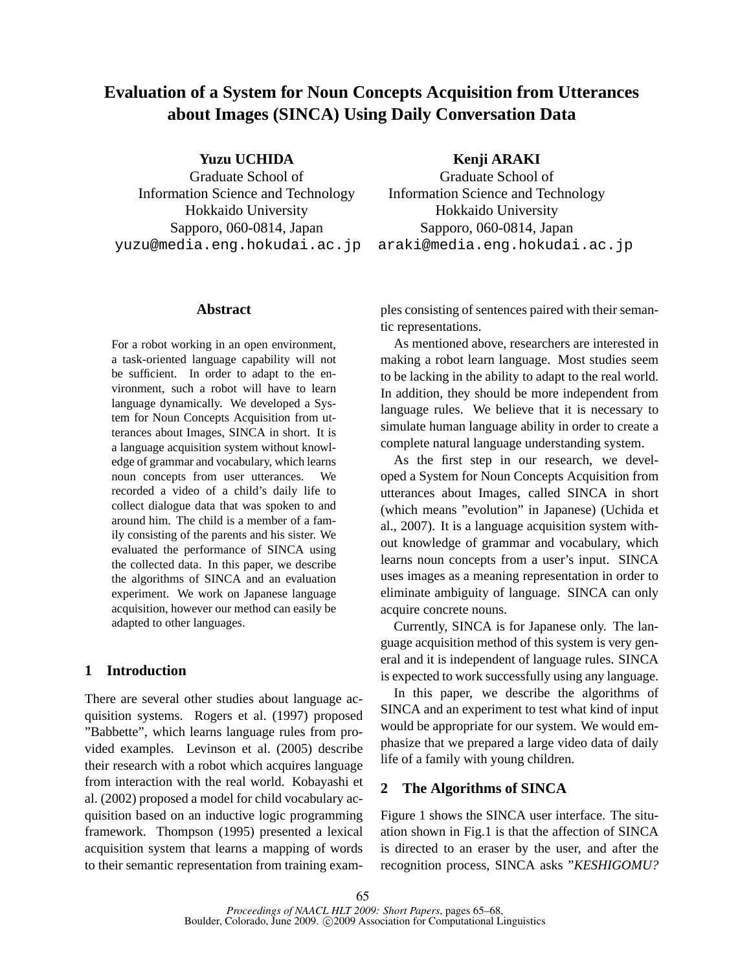# **Evaluation of a System for Noun Concepts Acquisition from Utterances about Images (SINCA) Using Daily Conversation Data**

**Yuzu UCHIDA**

Graduate School of Information Science and Technology Hokkaido University Sapporo, 060-0814, Japan yuzu@media.eng.hokudai.ac.jp

# **Abstract**

For a robot working in an open environment, a task-oriented language capability will not be sufficient. In order to adapt to the environment, such a robot will have to learn language dynamically. We developed a System for Noun Concepts Acquisition from utterances about Images, SINCA in short. It is a language acquisition system without knowledge of grammar and vocabulary, which learns noun concepts from user utterances. We recorded a video of a child's daily life to collect dialogue data that was spoken to and around him. The child is a member of a family consisting of the parents and his sister. We evaluated the performance of SINCA using the collected data. In this paper, we describe the algorithms of SINCA and an evaluation experiment. We work on Japanese language acquisition, however our method can easily be adapted to other languages.

## **1 Introduction**

There are several other studies about language acquisition systems. Rogers et al. (1997) proposed "Babbette", which learns language rules from provided examples. Levinson et al. (2005) describe their research with a robot which acquires language from interaction with the real world. Kobayashi et al. (2002) proposed a model for child vocabulary acquisition based on an inductive logic programming framework. Thompson (1995) presented a lexical acquisition system that learns a mapping of words to their semantic representation from training exam**Kenji ARAKI**

Graduate School of Information Science and Technology Hokkaido University Sapporo, 060-0814, Japan araki@media.eng.hokudai.ac.jp

ples consisting of sentences paired with their semantic representations.

As mentioned above, researchers are interested in making a robot learn language. Most studies seem to be lacking in the ability to adapt to the real world. In addition, they should be more independent from language rules. We believe that it is necessary to simulate human language ability in order to create a complete natural language understanding system.

As the first step in our research, we developed a System for Noun Concepts Acquisition from utterances about Images, called SINCA in short (which means "evolution" in Japanese) (Uchida et al., 2007). It is a language acquisition system without knowledge of grammar and vocabulary, which learns noun concepts from a user's input. SINCA uses images as a meaning representation in order to eliminate ambiguity of language. SINCA can only acquire concrete nouns.

Currently, SINCA is for Japanese only. The language acquisition method of this system is very general and it is independent of language rules. SINCA is expected to work successfully using any language.

In this paper, we describe the algorithms of SINCA and an experiment to test what kind of input would be appropriate for our system. We would emphasize that we prepared a large video data of daily life of a family with young children.

## **2 The Algorithms of SINCA**

Figure 1 shows the SINCA user interface. The situation shown in Fig.1 is that the affection of SINCA is directed to an eraser by the user, and after the recognition process, SINCA asks "*KESHIGOMU?*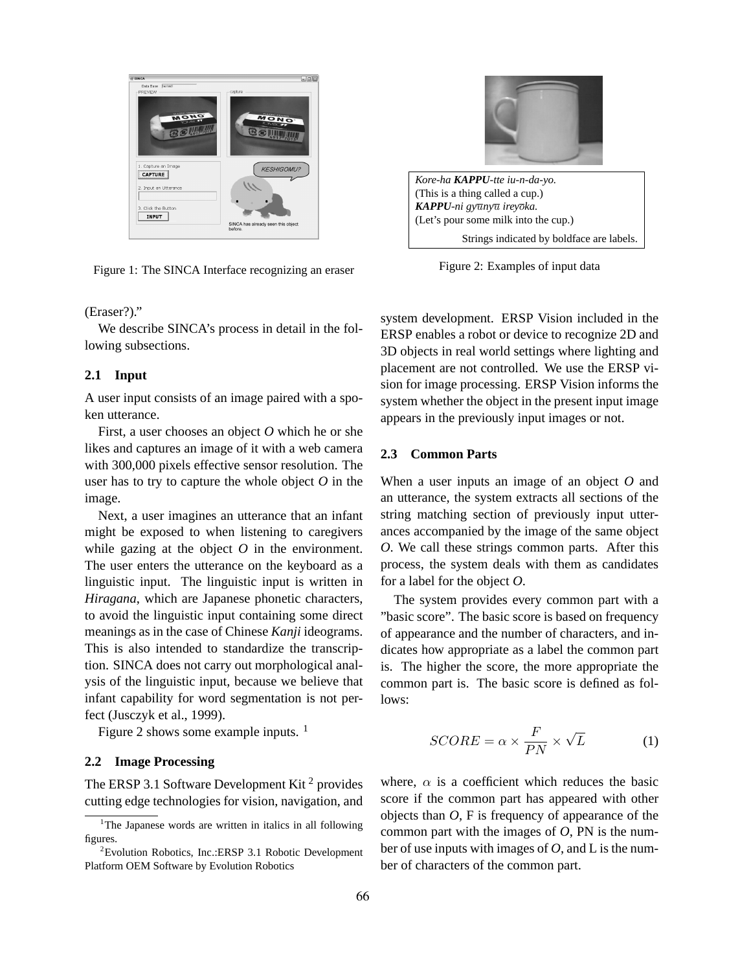

Figure 1: The SINCA Interface recognizing an eraser

### (Eraser?)."

We describe SINCA's process in detail in the following subsections.

#### **2.1 Input**

A user input consists of an image paired with a spoken utterance.

First, a user chooses an object *O* which he or she likes and captures an image of it with a web camera with 300,000 pixels effective sensor resolution. The user has to try to capture the whole object *O* in the image.

Next, a user imagines an utterance that an infant might be exposed to when listening to caregivers while gazing at the object  $O$  in the environment. The user enters the utterance on the keyboard as a linguistic input. The linguistic input is written in *Hiragana*, which are Japanese phonetic characters, to avoid the linguistic input containing some direct meanings as in the case of Chinese *Kanji* ideograms. This is also intended to standardize the transcription. SINCA does not carry out morphological analysis of the linguistic input, because we believe that infant capability for word segmentation is not perfect (Jusczyk et al., 1999).

Figure 2 shows some example inputs.  $<sup>1</sup>$ </sup>

# **2.2 Image Processing**

The ERSP 3.1 Software Development Kit<sup>2</sup> provides cutting edge technologies for vision, navigation, and



Figure 2: Examples of input data

system development. ERSP Vision included in the ERSP enables a robot or device to recognize 2D and 3D objects in real world settings where lighting and placement are not controlled. We use the ERSP vision for image processing. ERSP Vision informs the system whether the object in the present input image appears in the previously input images or not.

## **2.3 Common Parts**

When a user inputs an image of an object *O* and an utterance, the system extracts all sections of the string matching section of previously input utterances accompanied by the image of the same object *O*. We call these strings common parts. After this process, the system deals with them as candidates for a label for the object *O*.

The system provides every common part with a "basic score". The basic score is based on frequency of appearance and the number of characters, and indicates how appropriate as a label the common part is. The higher the score, the more appropriate the common part is. The basic score is defined as follows:

$$
SCORE = \alpha \times \frac{F}{PN} \times \sqrt{L}
$$
 (1)

where,  $\alpha$  is a coefficient which reduces the basic score if the common part has appeared with other objects than *O*, F is frequency of appearance of the common part with the images of *O*, PN is the number of use inputs with images of *O*, and L is the number of characters of the common part.

<sup>&</sup>lt;sup>1</sup>The Japanese words are written in italics in all following figures.

<sup>2</sup>Evolution Robotics, Inc.:ERSP 3.1 Robotic Development Platform OEM Software by Evolution Robotics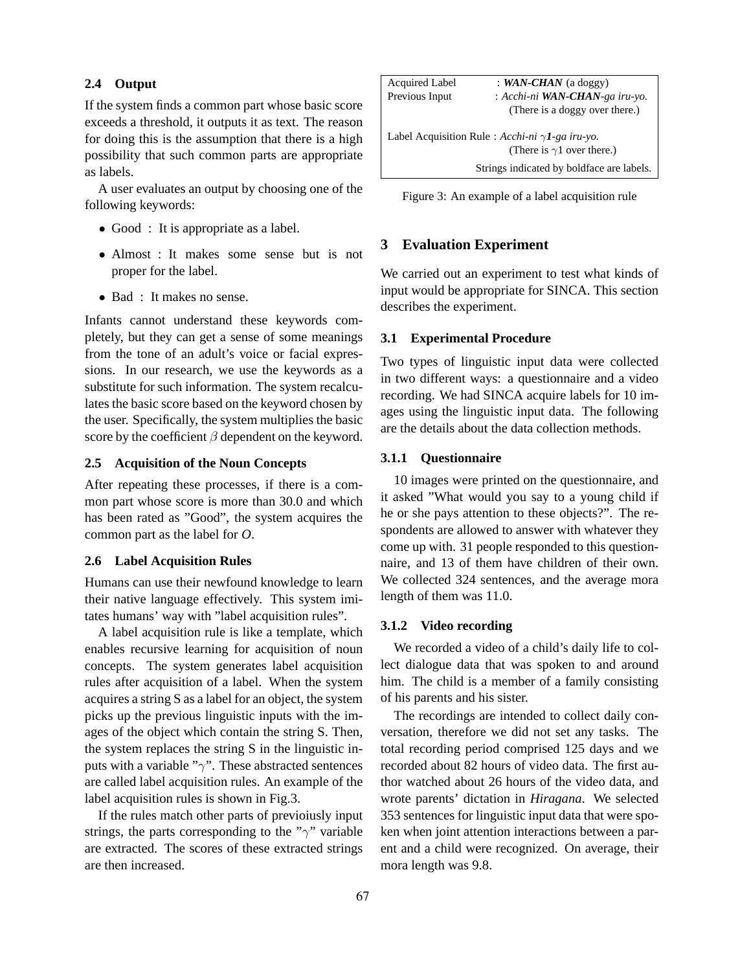#### **2.4 Output**

If the system finds a common part whose basic score exceeds a threshold, it outputs it as text. The reason for doing this is the assumption that there is a high possibility that such common parts are appropriate as labels.

A user evaluates an output by choosing one of the following keywords:

- Good : It is appropriate as a label.
- Almost : It makes some sense but is not proper for the label.
- Bad : It makes no sense.

Infants cannot understand these keywords completely, but they can get a sense of some meanings from the tone of an adult's voice or facial expressions. In our research, we use the keywords as a substitute for such information. The system recalculates the basic score based on the keyword chosen by the user. Specifically, the system multiplies the basic score by the coefficient  $\beta$  dependent on the keyword.

### **2.5 Acquisition of the Noun Concepts**

After repeating these processes, if there is a common part whose score is more than 30.0 and which has been rated as "Good", the system acquires the common part as the label for *O*.

## **2.6 Label Acquisition Rules**

Humans can use their newfound knowledge to learn their native language effectively. This system imitates humans' way with "label acquisition rules".

A label acquisition rule is like a template, which enables recursive learning for acquisition of noun concepts. The system generates label acquisition rules after acquisition of a label. When the system acquires a string S as a label for an object, the system picks up the previous linguistic inputs with the images of the object which contain the string S. Then, the system replaces the string S in the linguistic inputs with a variable " $\gamma$ ". These abstracted sentences are called label acquisition rules. An example of the label acquisition rules is shown in Fig.3.

If the rules match other parts of previoiusly input strings, the parts corresponding to the " $\gamma$ " variable are extracted. The scores of these extracted strings are then increased.

| <b>Acquired Label</b>                                   | : WAN-CHAN (a doggy)                      |  |
|---------------------------------------------------------|-------------------------------------------|--|
| Previous Input                                          | : Acchi-ni <b>WAN-CHAN</b> -ga iru-yo.    |  |
|                                                         | (There is a doggy over there.)            |  |
| Label Acquisition Rule : Acchi-ni $\gamma$ I-ga iru-yo. |                                           |  |
|                                                         | (There is $\gamma$ 1 over there.)         |  |
|                                                         | Strings indicated by boldface are labels. |  |

Figure 3: An example of a label acquisition rule

## **3 Evaluation Experiment**

We carried out an experiment to test what kinds of input would be appropriate for SINCA. This section describes the experiment.

#### **3.1 Experimental Procedure**

Two types of linguistic input data were collected in two different ways: a questionnaire and a video recording. We had SINCA acquire labels for 10 images using the linguistic input data. The following are the details about the data collection methods.

# **3.1.1 Questionnaire**

10 images were printed on the questionnaire, and it asked "What would you say to a young child if he or she pays attention to these objects?". The respondents are allowed to answer with whatever they come up with. 31 people responded to this questionnaire, and 13 of them have children of their own. We collected 324 sentences, and the average mora length of them was 11.0.

## **3.1.2 Video recording**

We recorded a video of a child's daily life to collect dialogue data that was spoken to and around him. The child is a member of a family consisting of his parents and his sister.

The recordings are intended to collect daily conversation, therefore we did not set any tasks. The total recording period comprised 125 days and we recorded about 82 hours of video data. The first author watched about 26 hours of the video data, and wrote parents' dictation in *Hiragana*. We selected 353 sentences for linguistic input data that were spoken when joint attention interactions between a parent and a child were recognized. On average, their mora length was 9.8.